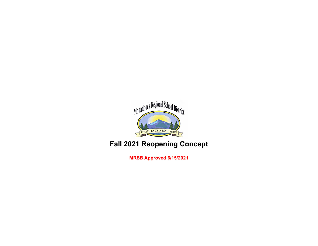

## **Fall 2021 Reopening Concept**

**MRSB Approved 6/15/2021**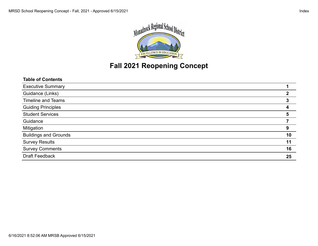

## **Fall 2021 Reopening Concept**

| 2  |
|----|
| 3  |
| 4  |
| 5  |
|    |
| 9  |
| 10 |
| 11 |
| 16 |
| 25 |
|    |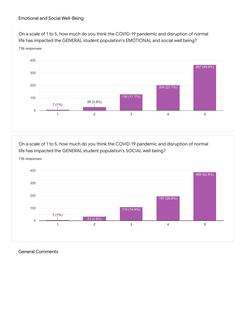## Emotional and Social Well-Being

On a scale of 1 to 5, how much do you think the COVID-19 pandemic and disruption of normal life has impacted the GENERAL student population's EMOTIONAL and social well being? 736 responses



On a scale of 1 to 5, how much do you think the COVID-19 pandemic and disruption of normal life has impacted the GENERAL student population's SOCIAL well being? 736 responses



General Comments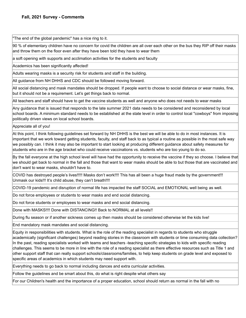"The end of the global pandemic" has a nice ring to it.

90 % of elementary children have no concern for covid the children are all over each other on the bus they RIP off their masks and throw them on the floor even after they have been told they have to wear them

a soft opening with supports and acclimation activities for the students and faculty

Academics has been significantly affected!

Adults wearing masks is a security risk for students and staff in the building.

All guidance from NH DHHS and CDC should be followed moving forward.

All social distancing and mask mandates should be dropped. If people want to choose to social distance or wear masks, fine, but it should not be a requirement. Let's get things back to normal.

All teachers and staff should have to get the vaccine students as well and anyone who does not needs to wear masks

Any guidance that is issued that responds to the late summer 2021 data needs to be considered and reconsidered by local school boards. A minimum standard needs to be established at the state level in order to control local "cowboys" from imposing politically driven views on local school boards.

Appreciate all of you!

At this point, I think following guidelines set forward by NH DHHS is the best we will be able to do in most instances. It is important that we work toward getting students, faculty, and staff back to as typical a routine as possible in the most safe way we possibly can. I think it may also be important to start looking at producing different guidance about safety measures for students who are in the age bracket who could receive vaccinations vs. students who are too young to do so.

By the fall everyone at the high school level will have had the opportunity to receive the vaccine if they so choose. I believe that we should get back to normal in the fall and those that want to wear masks should be able to but those that are vaccinated and don't want to wear masks, shouldn't have to.

COVID has destroyed people's lives!!!!! Masks don't work!!!! This has all been a huge fraud made by the government!!! Unmask our kids!!! It's child abuse, they can't breath!!!!

COVID-19 pandemic and disruption of normal life has impacted the staff SOCIAL and EMOTIONAL well being as well.

Do not force employees or students to wear masks and end social distancing.

Do not force students or employees to wear masks and end social distancing.

Done with MASKS!!!! Done with DISTANCING!! Back to NORMAL at all levels!!

During flu season or if another sickness comes up then masks should be considered otherwise let the kids live!

End mandatory mask mandates and social distancing.

Equity in responsibilities with students. What is the role of the reading specialist in regards to students who struggle academically (significant challenges) beyond reading stories in the classroom with students or time consuming data collection? In the past, reading specialists worked with teams and teachers -teaching specific strategies to kids with specific reading challenges. This seems to be more in line with the role of a reading specialist as there effective resources such as Title 1 and other support staff that can really support schools/classrooms/families, to help keep students on grade level and exposed to specific areas of academics in which students may need support with.

Everything needs to go back to normal including dances and extra curricular activities.

Follow the guidelines and be smart about this, do what is right despite what others say

For our Children's health and the importance of a proper education, school should return as normal in the fall with no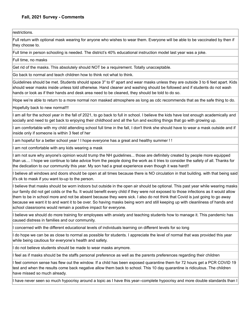restrictions.

Full return with optional mask wearing for anyone who wishes to wear them. Everyone will be able to be vaccinated by then if they choose to.

Full time in person schooling is needed. The district's 40% educational instruction model last year was a joke.

Full time, no masks

Get rid of the masks. This absolutely should NOT be a requirement. Totally unacceptable.

Go back to normal and teach children how to think not what to think.

Guidelines should be met. Students should space 3" to 6" apart and wear masks unless they are outside 3 to 6 feet apart. Kids should wear masks inside unless told otherwise. Hand cleaner and washing should be followed and if students do not wash hands or look as if their hands and desk area need to be cleaned, they should be told to do so.

Hope we're able to return to a more normal non masked atmosphere as long as cdc recommends that as the safe thing to do.

Hopefully back to new normal!!!

I am all for the school year in the fall of 2021, to go back to full in school. I believe the kids have lost enough academically and socially and need to get back to enjoying their childhood and all the fun and exciting things that go with growing up.

I am comfortable with my child attending school full time in the fall, I don't think she should have to wear a mask outside and if inside only if someone is within 3 feet of her

I am hopeful for a better school year ! I hope everyone has a great and healthy summer ! !

I am not comfortable with any kids wearing a mask

I am not sure why anyone's opinion would trump the NH guidelines... those are definitely created by people more equipped than us.... I hope we continue to take advice from the people doing the work as it tries to consider the safety of all. Thanks for the dedication to our community this year. My son had a great experience even though it was hard!!

I believe all windows and doors should be open at all times because there is NO circulation in that building. with that being said it's ok to mask if you want to-up to the person.

I believe that masks should be worn indoors but outside in the open air should be optional. This past year while wearing masks our family did not get colds or the flu. It would benefit every child if they were not exposed to those infections as it would allow them to be in school more and not be absent because they were sick. I also do not think that Covid is just going to go away because we want it to and want it to be over. So having masks being worn and still keeping up with cleanliness of hands and school classrooms would remain a positive impact for everyone.

I believe we should do more training for employees with anxiety and teaching students how to manage it. This pandemic has caused distress in families and our community.

I concerned with the different educational levels of individuals learning on different levels for so long

I do hope we can be as close to normal as possible for students. I appreciate the level of normal that was provided this year while being cautious for everyone's health and safety.

I do not believe students should be made to wear masks anymore.

I feel as if masks should be the staffs personal preference as well as the parents preferences regarding their children

I feel common sense has flew out the window. If a child has been exposed quarantine them for 72 hours get a PCR COVID 19 test and when the results come back negative allow them back to school. This 10 day quarantine is ridiculous. The children have missed so much already.

I have never seen so much hypocrisy around a topic as I have this year--complete hypocrisy and more double standards than I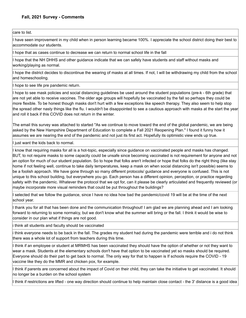care to list.

I have seen improvement in my child when in person learning became 100%. I appreciate the school district doing their best to accommodate our students.

I hope that as cases continue to decrease we can return to normal school life in the fall

I hope that the NH DHHS and other guidance indicate that we can safely have students and staff without masks and working/playing as normal.

I hope the district decides to discontinue the wearing of masks at all times. If not, I will be withdrawing my child from the school and homeschooling.

I hope to see life pre pandemic return.

I hope to see mask policies and social distancing guidelines be used around the student populations (pre-k - 6th grade) that are not yet able to receive vaccines. The older age groups will hopefully be vaccinated by the fall so perhaps they could be more flexible. To be honest though masks don't hurt with a few exceptions like speech therapy. They also seem to help stop the spread other nasty things like the flu. I wouldn't be disappointed to see a cautious approach with masks at the start the year and roll it back if this COVID does not return in the winter.

The email this survey was attached to started "As we continue to move toward the end of the global pandemic, we are being asked by the New Hampshire Department of Education to complete a Fall 2021 Reopening Plan." I found it funny how it assumes we are nearing the end of the pandemic and not just its first act. Hopefully its optimistic view ends up true.

I just want the kids back to normal.

I know that requiring masks for all is a hot-topic, especially since guidance on vaccinated people and masks has changed. BUT, to not require masks to some capacity could be unsafe since becoming vaccinated is not requirement for anyone and not an option for much of our student population. So to hope that folks aren't infected or hope that folks do the right thing (like stay home if not feeling well, continue to take daily temperatures, keep a mask on when social distancing isn't possible) seems to be a foolish approach. We have gone through so many different protocols/ guidance and everyone is confused. This is not unique to this school building, but everywhere you go. Each person has a different opinion, perception, or practice regarding safety with the pandemic. Whatever the protocol that we opt for, can it please be clearly articulated and frequently reviewed (or maybe incorporate more visual reminders that could be put throughout the buildings?

I selected that we follow the guidance, since I have no idea how bad the pandemic/covid 19 will be at the time of the next school year.

I thank you for all that has been done and the communication throughout! I am glad we are planning ahead and I am looking forward to returning to some normalcy, but we don't know what the summer will bring or the fall. I think it would be wise to consider in our plan what if things are not good.

i think all students and faculty should be vaccinated

i think everyone needs to be back in the fall. The grades my student had during the pandemic were terrible and i do not think there was a whole lot of support from teachers during this time.

I think if an employee or student at MRMHS has been vaccinated they should have the option of whether or not they want to wear a mask. Students at the elementary schools don't have that option to be vaccinated yet so masks should be required. Everyone should do their part to get back to normal. The only way for that to happen is If schools require the COVID - 19 vaccine like they do the MMR and chicken pox, for example.

I think if parents are concerned about the impact of Covid on their child, they can take the initiative to get vaccinated. It should no longer be a burden on the school system

I think if restrictions are lifted - one way direction should continue to help maintain close contact - the 3' distance is a good idea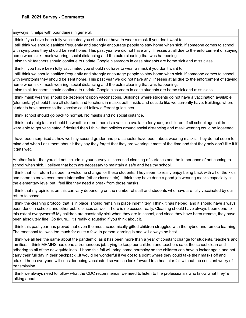anyways, it helps with boundaries in general.

I think if you have been fully vaccinated you should not have to wear a mask if you don't want to.

I still think we should sanitize frequently and strongly encourage people to stay home when sick. If someone comes to school with symptoms they should be sent home. This past year we did not have any illnesses at all due to the enforcement of staying home when sick, mask wearing, social distancing and the extra cleaning that was happening.

I also think teachers should continue to update Google classroom in case students are home sick and miss class.

I think if you have been fully vaccinated you should not have to wear a mask if you don't want to.

I still think we should sanitize frequently and strongly encourage people to stay home when sick. If someone comes to school with symptoms they should be sent home. This past year we did not have any illnesses at all due to the enforcement of staying home when sick, mask wearing, social distancing and the extra cleaning that was happening.

I also think teachers should continue to update Google classroom in case students are home sick and miss class.

I think mask wearing should be dependent upon vaccinations. Buildings where students do not have a vaccination available (elementary) should have all students and teachers in masks both inside and outside like we currently have. Buildings where students have access to the vaccine could follow different guidelines.

I think school should go back to normal. No masks and no social distance.

I think that a big factor should be whether or not there is a vaccine available for younger children. If all school age children were able to get vaccinated if desired then I think that policies around social distancing and mask wearing could be loosened.

I have been surprised at how well my second grader and pre-schooler have been about wearing masks. They do not seem to mind and when I ask them about it they say they forget that they are wearing it most of the time and that they only don't like it if it gets wet.

Another factor that you did not include in your survey is increased cleaning of surfaces and the importance of not coming to school when sick. I believe that both are necessary to maintain a safe and healthy school.

I think that full return has been a welcome change for these students. They seem to really enjoy being back with all of the kids and seem to crave even more interaction (other classes etc). I think they have done a good job wearing masks especially at the elementary level but I feel like they need a break from those masks.

I think that my opinions on this can vary depending on the number of staff and students who have are fully vaccinated by our return to school.

I think the cleaning protocol that is in place, should remain in place indefinitely. I think it has helped, and it should have always been done in schools and other public places as well. There is no excuse really. Cleaning should have always been done to this extent everywhere!! My children are constantly sick when they are in school, and since they have been remote, they have been absolutely fine! Go figure... it's really disgusting if you think about it.

I think this past year has proved that even the most academically gifted children struggled with the hybrid and remote learning. The emotional toll was too much for quite a few. In person learning is and will always be best

I think we all feel the same about the pandemic, as it has been more than a year of constant change for students, teachers and families...I think MRMHS has done a tremendous job trying to keep our children and teachers safe; the school clean and adhering to all of the new guidelines...I hope this fall will bring some normalcy so the children can have a locker again and not carry their full day in their backpack...It would be wonderful if we got to a point where they could take their masks off and relax...I hope everyone will consider being vaccinated so we can look forward to a healthier fall without the constant worry of transmission.

I think we always need to follow what the CDC recommends, we need to listen to the professionals who know what they're talking about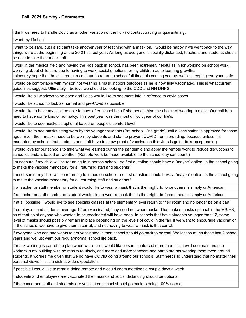I think we need to handle Covid as another variation of the flu - no contact tracing or quarantining.

I want my life back

I want to be safe, but I also can't take another year of teaching with a mask on. I would be happy if we went back to the way things were at the beginning of the 20-21 school year. As long as everyone is socially distanced, teachers and students should be able to take their masks off.

I work in the medical field and having the kids back in school, has been extremely helpful as in for working on school work, worrying about child care due to having to work, social emotions for my children as to learning growths. I sincerely hope that the children can continue to return to school full time this coming year as well as keeping everyone safe.

I would be comfortable with my son not wearing a mask indoors/outdoors as he is now fully vaccinated. This is what current guidelines suggest. Ultimately, I believe we should be looking to the CDC and NH DHHS.

I would like all windows to be open and I also would like to see more info in refrence to covid cases

I would like school to look as normal and pre-Covid as possible.

I would like to have my child be able to have after school help if she needs. Also the choice of wearing a mask. Our children need to have some kind of normalcy. This past year was the most difficult year of our life's.

I would like to see masks as optional based on people's comfort level.

I would like to see masks being worn by the younger students (Pre-school -2nd grade) until a vaccination is approved for those ages. Even then, masks need to be worn by students and staff to prevent COVID from spreading, because unless it is mandated by schools that students and staff have to show proof of vaccination this virus is going to keep spreading.

I would love for our schools to take what we learned during the pandemic and apply the remote work to reduce disruptions to school calendars based on weather. (Remote work be made available so the school day can count.)

I'm not sure if my child will be returning to in person school - so first question should have a "maybe" option. Is the school going to make the vaccine mandatory for all returning staff and students?

I'm not sure if my child will be returning to in person school - so first question should have a "maybe" option. Is the school going to make the vaccine mandatory for all returning staff and students?

If a teacher or staff member or student would like to wear a mask that is their right, to force others is simply unAmerican.

If a teacher or staff member or student would like to wear a mask that is their right, to force others is simply unAmerican.

If at all possible, I would like to see specials classes at the elementary level return to their room and no longer be on a cart.

If employees and students over age 12 are vaccinated, they need not wear masks. That makes masks optional in the MS/HS, as at that point anyone who wanted to be vaccinated will have been. In schools that have students younger than 12, some level of masks should possibly remain in place depending on the levels of covid in the fall. If we want to encourage vaccination in the schools, we have to give them a carrot, and not having to wear a mask is that carrot.

If everyone who can and wants to get vaccinated is then school should go back to normal. We lost so much these last 2 school years and we just want our regular/normal school life back.

If mask wearing is part of the plan when we return I would like to see it enforced more than it is now. I see maintenance workers in my building with no masks routinely, and more and more teachers and paras are not wearing them even around students. It worries me given that we do have COVID going around our schools. Staff needs to understand that no matter their personal views this is a district wide expectation.

If possible I would like to remain doing remote and a could zoom meetings a couple days a week

If students and employees are vaccinated then mask and social distancing should be optional

If the concerned staff and students are vaccinated school should go back to being 100% normal!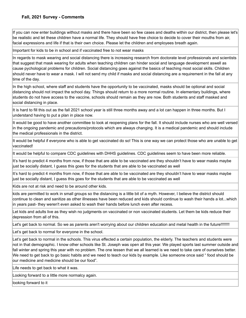If you can now enter buildings without masks and there have been so few cases and deaths within our district, then please let's be realistic and let these children have a normal life. They should have free choice to decide to cover their mouths from air, facial expressions and life if that is their own choice. Please let the children and employees breath again.

Important for kids to be in school and if vaccinated free to not wear masks

In regards to mask wearing and social distancing there is increasing research from doctorate level professionals and scientists that suggest that mask wearing for adults when teaching children can hinder social and language development aswell as cause pychological problems for children. Social distancing goes against the basics of teaching most social skills. Children should never have to wear a mask. I will not send my child if masks and social distancing are a requirement in the fall at any time of the day.

In the high school, where staff and students have the opportunity to be vaccinated, masks should be optional and social distancing should not impact the school day. Things should return to a more normal routine. In elementary buildings, where students do not have access to the vaccine, schools should remain as they are now. Both students and staff masked and social distancing in place.

It is hard to fill this out as the fall 2021 school year is still three months away and a lot can happen in three months. But I understand having to put a plan in place now.

It would be good to have another committee to look at reopening plans for the fall. It should include nurses who are well versed in the ongoing pandemic and precautions/protocols which are always changing. It is a medical pandemic and should include the medical professionals in the district.

It would be helpful if everyone who is able to get vaccinated do so! This is one way we can protect those who are unable to get vaccinated!

It would be helpful to compare CDC guidelines with DHHS guidelines. CDC guidelines seem to have been more reliable.

It's hard to predict 4 months from now, if those that are able to be vaccinated are they shouldn't have to wear masks maybe just be socially distant, I guess this goes for the students that are able to be vaccinated as well

It's hard to predict 4 months from now, if those that are able to be vaccinated are they shouldn't have to wear masks maybe just be socially distant, I guess this goes for the students that are able to be vaccinated as well

Kids are not at risk and need to be around other kids.

kids are permitted to work in small groups so the distancing is a little bit of a myth. However, I believe the district should continue to clean and sanitize as other illnesses have been reduced and kids should continue to wash their hands a lot...which in years past- they weren't even asked to wash their hands before lunch even after recess.

Let kids and adults live as they wish no judgments on vaccinated or non vaccinated students. Let them be kids reduce their depression from all of this.

Let's get back to normal. So we as parents aren't worrying about our children education and metal health in the future!!!!!!!!

Let's get back to normal for everyone in the school.

Let's get back to normal in the schools. This virus effected a certain population, the elderly. The teachers and students were not in that demographic. I know other schools like St. Joseph was open all this year. We played sports last summer outside and fall winter and spring this year with no problem. The one lessen that we all learned is we need to take care of ourselves better. We need to get back to go basic habits and we need to teach our kids by example. Like someone once said " food should be our medicine and medicine should be our food".

Life needs to get back to what it was.

Looking forward to a little more normalcy again.

looking forward to it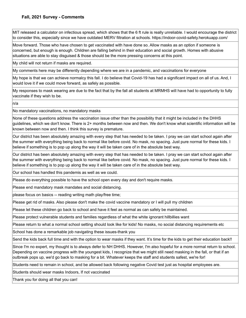MIT released a calculator on infectious spread, which shows that the 6 ft rule is really unreliable. I would encourage the district to consider this, especially since we have outdated MERV filtration at schools. https://indoor-covid-safety.herokuapp.com/

Move forward. Those who have chosen to get vaccinated with have done so. Allow masks as an option if someone is concerned, but enough is enough. Children are falling behind in their education and social growth. Homes with abusive situations are able to stay disguised & those should be the more pressing concerns at this point.

My child will not return if masks are required.

My comments here may be differently depending where we are in a pandemic, and vaccinations for everyone

My hope is that we can achieve normalcy this fall. I do believe that Covid-19 has had a significant impact on all of us. And, I would love it if we could move forward, as safely as possible.

My responses to mask wearing are due to the fact that by the fall all students at MRMHS will have had to opportunity to fully vaccinate if they wish to be.

n/a

No mandatory vaccinations, no mandatory masks

None of these questions address the vaccination issue other than the possibility that it might be included in the DHHS guidelines, which we don't know. There is 2+ months between now and then. We don't know what scientific information will be known between now and then. I think this survey is premature.

Our district has been absolutely amazing with every step that has needed to be taken. I pray we can start school again after the summer with everything being back to normal like before covid. No mask, no spacing. Just pure normal for these kids. I believe if something is to pop up along the way it will be taken care of in the absolute best way.

Our district has been absolutely amazing with every step that has needed to be taken. I pray we can start school again after the summer with everything being back to normal like before covid. No mask, no spacing. Just pure normal for these kids. I believe if something is to pop up along the way it will be taken care of in the absolute best way.

Our school has handled this pandemis as well as we could.

Please do everything possible to have the school open every day and don't require masks.

Please end mandatory mask mandates and social distancing.

please focus on basics -- reading writing math play/free time;

Please get rid of masks. Also please don't make the covid vaccine mandatory or I will pull my children

Please let these children go back to school and have it feel as normal as can safely be maintained.

Please protect vulnerable students and families regardless of what the white ignorant hillbillies want

Please return to what a normal school setting should look like for kids! No masks, no social distancing requirements etc

School has done a remarkable job navigating these issues-thank you

Send the kids back full time and with the option to wear masks if they want. It's time for the kids to get their education back!!

Since I'm no expert, my thought is to always defer to NH DHHS. However, I'm also hopeful for a more normal return to school. Depending on vaccine progress with the youngest kids, I recognize that we might still need masking in the fall, or that if an outbreak pops up, we'd go back to masking for a bit. Whatever keeps the staff and students safest, we're for!

Students need to remain in school, and be allowed back following negative Covid test just as hospital employees are.

Students should wear masks Indoors, If not vaccinated

Thank you for doing all that you can!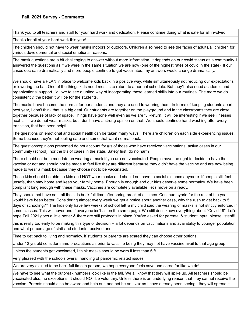Thank you to all teachers and staff for your hard work and dedication. Please continue doing what is safe for all involved.

Thanks for all of your hard work this year!

The children should not have to wear masks indoors or outdoors. Children also need to see the faces of adults/all children for various developmental and social emotional reasons.

The mask questions are a bit challenging to answer without more information. It depends on our covid status as a community. I answered the questions as if we were in the same situation we are now (one of the highest rates of covid in the state). If our cases decrease dramatically and more people continue to get vaccinated, my answers would change dramatically.

We should have a PLAN in place to welcome kids back in a positive way, while simultaneously not reducing our expectations or lowering the bar. One of the things kids need most is to return to a normal schedule. But they'll also need academic and organizational support. I'd love to see a united way of incorporating these learned skills into our routines. The more we do consistently, the better it will be for the students.

The masks have become the normal for our students and they are used to wearing them. In terms of keeping students apart next year, I don't think that is a big deal. Our students are together on the playground and in the classrooms they are close together because of lack of space. Things have gone well even as we are full-return. It will be interesting if we see illnesses next fall if we do not wear masks, but I don't have a strong opinion on that. We should continue hand washing after every transition, that has been helpful.

The questions on emotional and social health can be taken many ways. There are children on each side experiencing issues. Some because they're not feeling safe and some that want normal back.

The questions/opinions presented do not account for #'s of those who have received vaccinations, active cases in our community (school), nor the #'s of cases in the state. Safety first, do no harm

There should not be a mandate on wearing a mask if you are not vaccinated. People have the right to decide to have the vaccine or not and should not be made to feel like they are different because they didn't have the vaccine and are now being made to wear a mask because they choose not to be vaccinated.

These kids should be able be kids and NOT wear masks and should not have to social distance anymore. If people still feel unsafe, than stay home and keep your family home. Enough is enough and our kids deserve some normalcy. We have been compliant long enough with these masks. Vaccines are completely available, let's move on already.

They should not have sent all the kids back full time after spring break of all times. Continue hybrid for the rest of the year would have been better. Considering almost every week we get a notice about another case, why the rush to get back to 5 days of schooling?? The kids only have few weeks of school left & my child said the wearing of masks is not strictly enforced in some classes. This will never end if everyone isn't all on the same page. We still don't know everything about "Covid 19". Let's hope Fall 2021 goes a little better & there are still protocols in place. You've asked for parental & student input, please listen!!!

this is really too early to be making this type of decision -- a lot depends on vaccinations and availability to younger population and what percentage of staff and students received one

Time to get back to living and normalcy. If students or parents are scared they can choose other options.

Under 12 yrs old consider same precautions as prior to vaccine being they may not have vaccine avail to that age group

Unless the students get vaccinated, I think masks should be worn if less than 6 ft..

Very pleased with the schools overall handling of pandemic related issues

We are very excited to be back full time in person, we hope everyone feels save and cared for like we do!

We have to see what the outbreak numbers look like in the fall. We all know that they will spike up. All teachers should be vaccinated also, no exceptions! It should NOT be voluntary. Unless there is an underlying reason that they cannot receive the vaccine. Parents should also be aware and help out, and not be anti vax as I have already been seeing.. they will spread it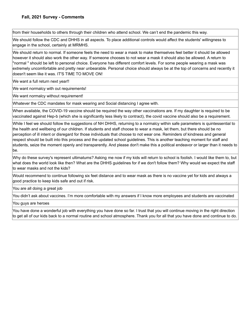from their households to others through their children who attend school. We can't end the pandemic this way.

We should follow the CDC and DHHS in all aspects. To place additional controls would affect the students' willingness to engage in the school, certainly at MRMHS.

We should return to normal. If someone feels the need to wear a mask to make themselves feel better it should be allowed however it should also work the other way. If someone chooses to not wear a mask it should also be allowed. A return to "normal " should be left to personal choice. Everyone has different comfort levels. For some people wearing a mask was extremely uncomfortable and pretty near unbearable. Personal choice should always be at the top of concerns and recently it doesn't seem like it was. IT'S TIME TO MOVE ON!

We want a full return next year!!

We want normalcy with out requirements!

We want normalcy without requirement!

Whatever the CDC mandates for mask wearing and Social distancing I agree with.

When available, the COVID-19 vaccine should be required the way other vaccinations are. If my daughter is required to be vaccinated against Hep-b (which she is significantly less likely to contract), the covid vaccine should also be a requirement.

While I feel we should follow the suggestions of NH DHHS, returning to a normalcy within safe parameters is quintessential to the health and wellbeing of our children. If students and staff choose to wear a mask, let them, but there should be no perception of ill intent or disregard for those individuals that choose to not wear one. Reminders of kindness and general respect should be built into this process and the updated school guidelines. This is another teaching moment for staff and students, seize the moment openly and transparently. And please don't make this a political endeavor or larger than it needs to be.

Why do these survey's represent ultimatums? Asking me now if my kids will return to school is foolish. I would like them to, but what does the world look like then? What are the DHHS guidelines for if we don't follow them? Why would we expect the staff to wear masks and not the kids?

Would recommend to continue following six feet distance and to wear mask as there is no vaccine yet for kids and always a good practice to keep kids safe and out if risk.

You are all doing a great job

You didn't ask about vaccines. I'm more comfortable with my answers if I know more employees and students are vaccinated

You guys are heroes

You have done a wonderful job with everything you have done so far. I trust that you will continue moving in the right direction to get all of our kids back to a normal routine and school atmosphere. Thank you for all that you have done and continue to do.